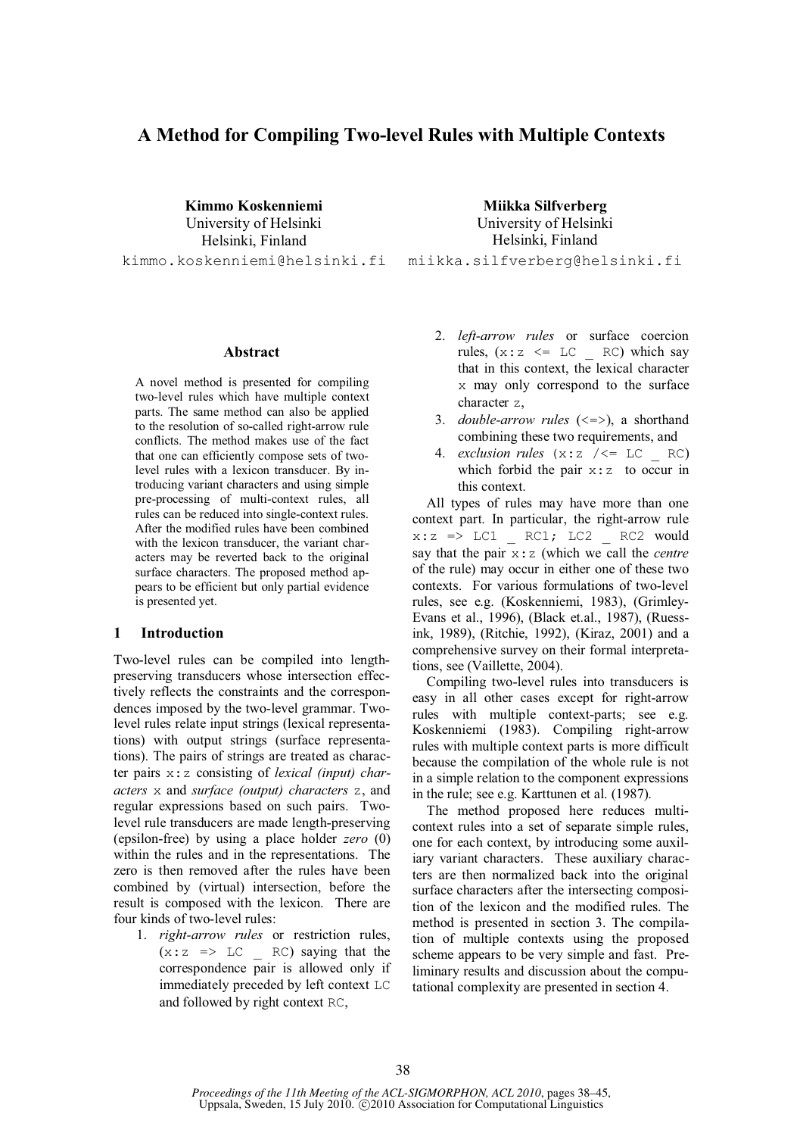# **A Method for Compiling Two-level Rules with Multiple Contexts**

**Kimmo Koskenniemi**  University of Helsinki Helsinki, Finland kimmo.koskenniemi@helsinki.fi

**Abstract** 

A novel method is presented for compiling two-level rules which have multiple context parts. The same method can also be applied to the resolution of so-called right-arrow rule conflicts. The method makes use of the fact that one can efficiently compose sets of twolevel rules with a lexicon transducer. By introducing variant characters and using simple pre-processing of multi-context rules, all rules can be reduced into single-context rules. After the modified rules have been combined with the lexicon transducer, the variant characters may be reverted back to the original surface characters. The proposed method appears to be efficient but only partial evidence is presented yet.

## **1 Introduction**

Two-level rules can be compiled into lengthpreserving transducers whose intersection effectively reflects the constraints and the correspondences imposed by the two-level grammar. Twolevel rules relate input strings (lexical representations) with output strings (surface representations). The pairs of strings are treated as character pairs x:z consisting of *lexical (input) characters* x and *surface (output) characters* z, and regular expressions based on such pairs. Twolevel rule transducers are made length-preserving (epsilon-free) by using a place holder *zero* (0) within the rules and in the representations. The zero is then removed after the rules have been combined by (virtual) intersection, before the result is composed with the lexicon. There are four kinds of two-level rules:

1. *right-arrow rules* or restriction rules,  $(x:z \Rightarrow LC \in RC)$  saying that the correspondence pair is allowed only if immediately preceded by left context LC and followed by right context RC,

**Miikka Silfverberg** University of Helsinki Helsinki, Finland miikka.silfverberg@helsinki.fi

- 2. *left-arrow rules* or surface coercion rules,  $(x:z \leq LC \leq RC)$  which say that in this context, the lexical character x may only correspond to the surface character z,
- 3. *double-arrow rules* (<=>), a shorthand combining these two requirements, and
- 4. *exclusion rules*  $(x:z / \leq LC \cap RC)$ which forbid the pair  $x:z$  to occur in this context.

All types of rules may have more than one context part. In particular, the right-arrow rule  $x:z \Rightarrow$  LC1 \_ RC1; LC2 \_ RC2 would say that the pair x:z (which we call the *centre* of the rule) may occur in either one of these two contexts. For various formulations of two-level rules, see e.g. (Koskenniemi, 1983), (Grimley-Evans et al., 1996), (Black et.al., 1987), (Ruessink, 1989), (Ritchie, 1992), (Kiraz, 2001) and a comprehensive survey on their formal interpretations, see (Vaillette, 2004).

Compiling two-level rules into transducers is easy in all other cases except for right-arrow rules with multiple context-parts; see e.g. Koskenniemi (1983). Compiling right-arrow rules with multiple context parts is more difficult because the compilation of the whole rule is not in a simple relation to the component expressions in the rule; see e.g. Karttunen et al. (1987).

The method proposed here reduces multicontext rules into a set of separate simple rules, one for each context, by introducing some auxiliary variant characters. These auxiliary characters are then normalized back into the original surface characters after the intersecting composition of the lexicon and the modified rules. The method is presented in section 3. The compilation of multiple contexts using the proposed scheme appears to be very simple and fast. Preliminary results and discussion about the computational complexity are presented in section 4.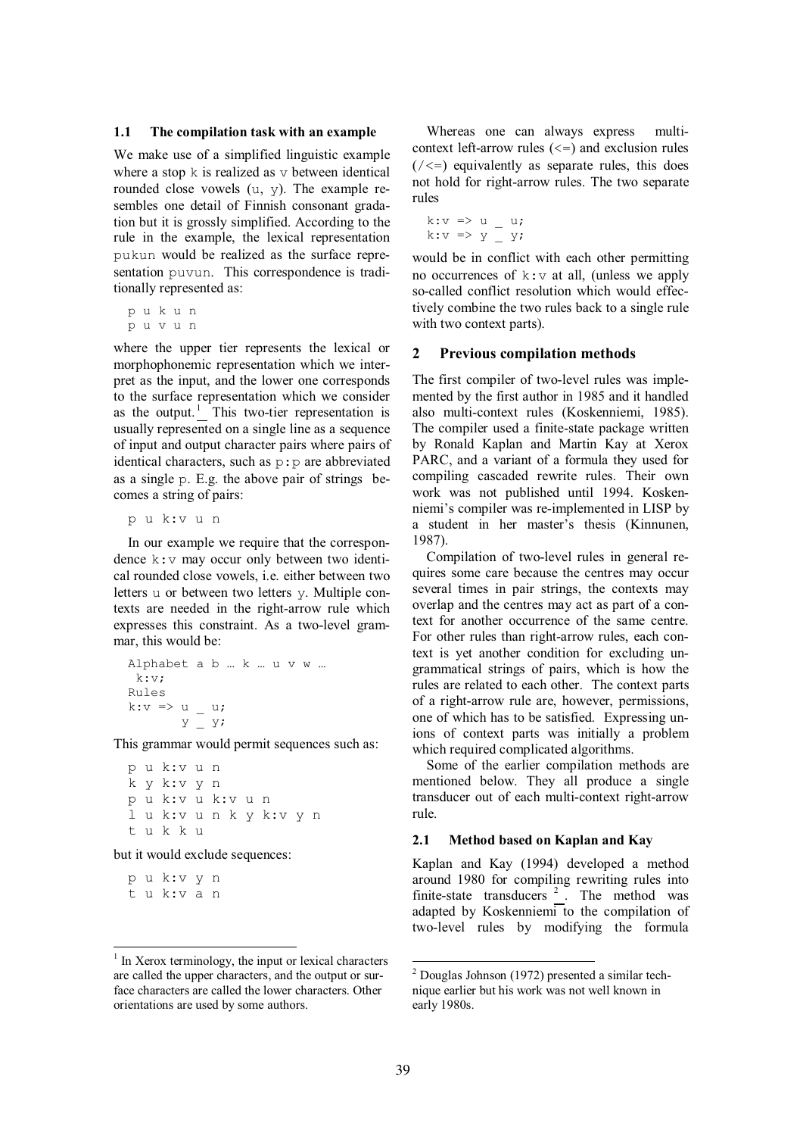#### **1.1 The compilation task with an example**

We make use of a simplified linguistic example where a stop  $k$  is realized as  $v$  between identical rounded close vowels (u, y). The example resembles one detail of Finnish consonant gradation but it is grossly simplified. According to the rule in the example, the lexical representation pukun would be realized as the surface representation puvun. This correspondence is traditionally represented as:

p u k u n p u v u n

where the upper tier represents the lexical or morphophonemic representation which we interpret as the input, and the lower one corresponds to the surface representation which we consider as the output.<sup>1</sup> This two-tier representation is usually represented on a single line as a sequence of input and output character pairs where pairs of identical characters, such as p:p are abbreviated as a single p. E.g. the above pair of strings becomes a string of pairs:

p u k:v u n

In our example we require that the correspondence k:v may occur only between two identical rounded close vowels, i.e. either between two letters u or between two letters y. Multiple contexts are needed in the right-arrow rule which expresses this constraint. As a two-level grammar, this would be:

```
Alphabet a b … k … u v w … 
 k:v; 
Rules 
k:v \Rightarrow u u;
        Y = Y
```
This grammar would permit sequences such as:

p u k:v u n k y k:v y n p u k:v u k:v u n l u k:v u n k y k:v y n t u k k u

but it would exclude sequences:

p u k:v y n t u k:v a n

Whereas one can always express multicontext left-arrow rules  $(\leq)$  and exclusion rules  $(\angle \leq)$  equivalently as separate rules, this does not hold for right-arrow rules. The two separate rules

k: $v \Rightarrow u = u;$ k: $v \Rightarrow y = y;$ 

would be in conflict with each other permitting no occurrences of  $k:V$  at all, (unless we apply so-called conflict resolution which would effectively combine the two rules back to a single rule with two context parts).

### **2 Previous compilation methods**

The first compiler of two-level rules was implemented by the first author in 1985 and it handled also multi-context rules (Koskenniemi, 1985). The compiler used a finite-state package written by Ronald Kaplan and Martin Kay at Xerox PARC, and a variant of a formula they used for compiling cascaded rewrite rules. Their own work was not published until 1994. Koskenniemi's compiler was re-implemented in LISP by a student in her master's thesis (Kinnunen, 1987).

Compilation of two-level rules in general requires some care because the centres may occur several times in pair strings, the contexts may overlap and the centres may act as part of a context for another occurrence of the same centre. For other rules than right-arrow rules, each context is yet another condition for excluding ungrammatical strings of pairs, which is how the rules are related to each other. The context parts of a right-arrow rule are, however, permissions, one of which has to be satisfied. Expressing unions of context parts was initially a problem which required complicated algorithms.

Some of the earlier compilation methods are mentioned below. They all produce a single transducer out of each multi-context right-arrow rule.

#### **2.1 Method based on Kaplan and Kay**

Kaplan and Kay (1994) developed a method around 1980 for compiling rewriting rules into finite-state transducers<sup>2</sup>. The method was adapted by Koskenniemi to the compilation of two-level rules by modifying the formula

<sup>&</sup>lt;sup>1</sup> In Xerox terminology, the input or lexical characters are called the upper characters, and the output or surface characters are called the lower characters. Other orientations are used by some authors.

 2 Douglas Johnson (1972) presented a similar technique earlier but his work was not well known in early 1980s.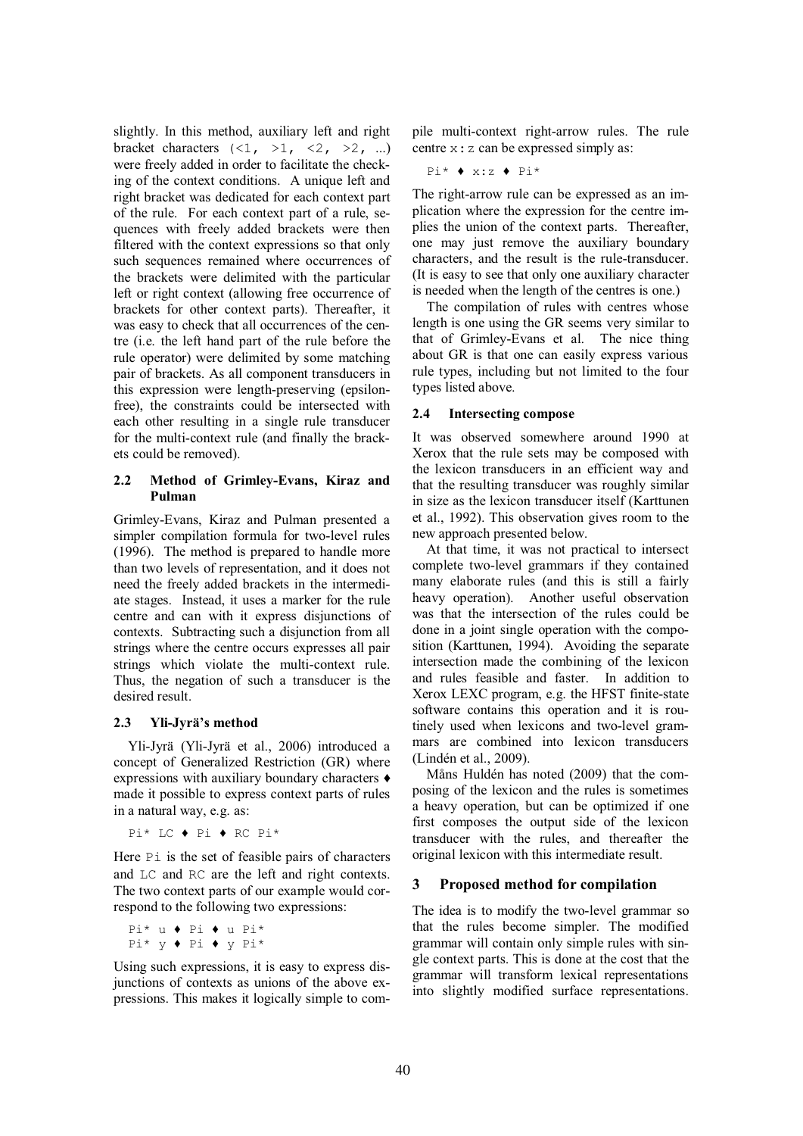slightly. In this method, auxiliary left and right bracket characters  $(\langle 1, >1, <2, >2, ... \rangle)$ were freely added in order to facilitate the checking of the context conditions. A unique left and right bracket was dedicated for each context part of the rule. For each context part of a rule, sequences with freely added brackets were then filtered with the context expressions so that only such sequences remained where occurrences of the brackets were delimited with the particular left or right context (allowing free occurrence of brackets for other context parts). Thereafter, it was easy to check that all occurrences of the centre (i.e. the left hand part of the rule before the rule operator) were delimited by some matching pair of brackets. As all component transducers in this expression were length-preserving (epsilonfree), the constraints could be intersected with each other resulting in a single rule transducer for the multi-context rule (and finally the brackets could be removed).

## **2.2 Method of Grimley-Evans, Kiraz and Pulman**

Grimley-Evans, Kiraz and Pulman presented a simpler compilation formula for two-level rules (1996). The method is prepared to handle more than two levels of representation, and it does not need the freely added brackets in the intermediate stages. Instead, it uses a marker for the rule centre and can with it express disjunctions of contexts. Subtracting such a disjunction from all strings where the centre occurs expresses all pair strings which violate the multi-context rule. Thus, the negation of such a transducer is the desired result.

## **2.3 Yli-Jyrä's method**

Yli-Jyrä (Yli-Jyrä et al., 2006) introduced a concept of Generalized Restriction (GR) where expressions with auxiliary boundary characters made it possible to express context parts of rules in a natural way, e.g. as:

Pi\* LC ◆ Pi ◆ RC Pi\*

Here P<sub>i</sub> is the set of feasible pairs of characters and LC and RC are the left and right contexts. The two context parts of our example would correspond to the following two expressions:

Pi\* u ◆ Pi ◆ u Pi\*  $Pi*$  y  $\blacklozenge$  Pi  $\blacklozenge$  y Pi $*$ 

Using such expressions, it is easy to express disjunctions of contexts as unions of the above expressions. This makes it logically simple to compile multi-context right-arrow rules. The rule centre x:z can be expressed simply as:

$$
\text{Pi*} \bullet x: z \bullet \text{Pi*}
$$

The right-arrow rule can be expressed as an implication where the expression for the centre implies the union of the context parts. Thereafter, one may just remove the auxiliary boundary characters, and the result is the rule-transducer. (It is easy to see that only one auxiliary character is needed when the length of the centres is one.)

The compilation of rules with centres whose length is one using the GR seems very similar to that of Grimley-Evans et al. The nice thing about GR is that one can easily express various rule types, including but not limited to the four types listed above.

## **2.4 Intersecting compose**

It was observed somewhere around 1990 at Xerox that the rule sets may be composed with the lexicon transducers in an efficient way and that the resulting transducer was roughly similar in size as the lexicon transducer itself (Karttunen et al., 1992). This observation gives room to the new approach presented below.

At that time, it was not practical to intersect complete two-level grammars if they contained many elaborate rules (and this is still a fairly heavy operation). Another useful observation was that the intersection of the rules could be done in a joint single operation with the composition (Karttunen, 1994). Avoiding the separate intersection made the combining of the lexicon and rules feasible and faster. In addition to Xerox LEXC program, e.g. the HFST finite-state software contains this operation and it is routinely used when lexicons and two-level grammars are combined into lexicon transducers (Lindén et al., 2009).

Måns Huldén has noted (2009) that the composing of the lexicon and the rules is sometimes a heavy operation, but can be optimized if one first composes the output side of the lexicon transducer with the rules, and thereafter the original lexicon with this intermediate result.

## **3 Proposed method for compilation**

The idea is to modify the two-level grammar so that the rules become simpler. The modified grammar will contain only simple rules with single context parts. This is done at the cost that the grammar will transform lexical representations into slightly modified surface representations.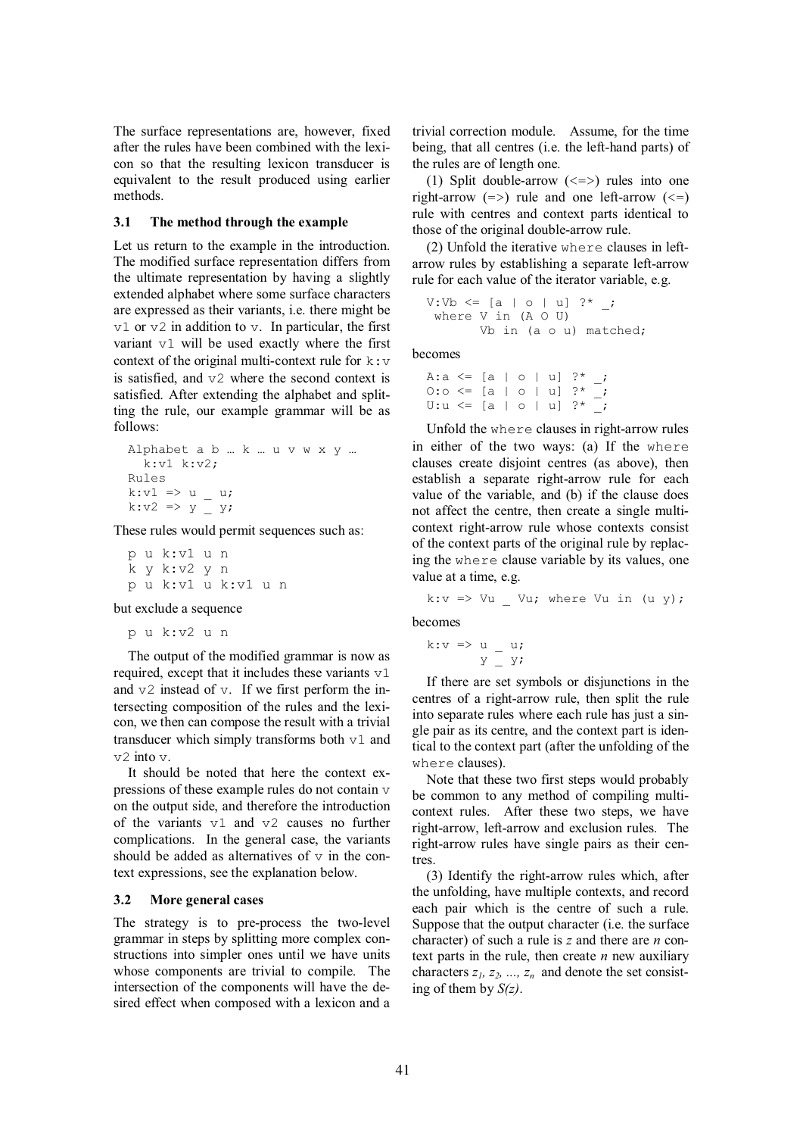The surface representations are, however, fixed after the rules have been combined with the lexicon so that the resulting lexicon transducer is equivalent to the result produced using earlier methods.

### **3.1 The method through the example**

Let us return to the example in the introduction. The modified surface representation differs from the ultimate representation by having a slightly extended alphabet where some surface characters are expressed as their variants, i.e. there might be  $v1$  or  $v2$  in addition to v. In particular, the first variant v1 will be used exactly where the first context of the original multi-context rule for  $k: v$ is satisfied, and v2 where the second context is satisfied. After extending the alphabet and splitting the rule, our example grammar will be as follows:

```
Alphabet a b … k … u v w x y … 
  k: v1 k: v2;Rules 
k:v1 \Rightarrow u _ u;
k:v2 => y - y;
```
These rules would permit sequences such as:

```
p u k:v1 u n
k y k:v2 y n 
p u k:v1 u k:v1 u n
```
but exclude a sequence

p u k:v2 u n

The output of the modified grammar is now as required, except that it includes these variants v1 and v2 instead of v. If we first perform the intersecting composition of the rules and the lexicon, we then can compose the result with a trivial transducer which simply transforms both v1 and  $v^2$  into  $v$ .

It should be noted that here the context expressions of these example rules do not contain v on the output side, and therefore the introduction of the variants v1 and v2 causes no further complications. In the general case, the variants should be added as alternatives of  $\nu$  in the context expressions, see the explanation below.

### **3.2 More general cases**

The strategy is to pre-process the two-level grammar in steps by splitting more complex constructions into simpler ones until we have units whose components are trivial to compile. The intersection of the components will have the desired effect when composed with a lexicon and a trivial correction module. Assume, for the time being, that all centres (i.e. the left-hand parts) of the rules are of length one.

(1) Split double-arrow  $(\leq z)$  rules into one right-arrow  $(=>)$  rule and one left-arrow  $(<=)$ rule with centres and context parts identical to those of the original double-arrow rule.

(2) Unfold the iterative where clauses in leftarrow rules by establishing a separate left-arrow rule for each value of the iterator variable, e.g.

```
V:Vb \le [a | o | u] ?* ;
  where V in (A O U) 
        Vb in (a o u) matched;
```
becomes

A:a <= [a | o | u] ?\* \_; O:o  $\le$  [a | o | u] ?\*  $\cdot$ U:u <= [a | o | u] ?\* \_;

Unfold the where clauses in right-arrow rules in either of the two ways: (a) If the where clauses create disjoint centres (as above), then establish a separate right-arrow rule for each value of the variable, and (b) if the clause does not affect the centre, then create a single multicontext right-arrow rule whose contexts consist of the context parts of the original rule by replacing the where clause variable by its values, one value at a time, e.g.

$$
k: v \Rightarrow Vu_{v}
$$
 *Vu; where Vu in (u y);*

becomes

$$
k: v \Rightarrow u = u;
$$
  

$$
y = y;
$$

If there are set symbols or disjunctions in the centres of a right-arrow rule, then split the rule into separate rules where each rule has just a single pair as its centre, and the context part is identical to the context part (after the unfolding of the where clauses).

Note that these two first steps would probably be common to any method of compiling multicontext rules. After these two steps, we have right-arrow, left-arrow and exclusion rules. The right-arrow rules have single pairs as their centres.

(3) Identify the right-arrow rules which, after the unfolding, have multiple contexts, and record each pair which is the centre of such a rule. Suppose that the output character (i.e. the surface character) of such a rule is *z* and there are *n* context parts in the rule, then create *n* new auxiliary characters  $z_1, z_2, ..., z_n$  and denote the set consisting of them by *S(z)*.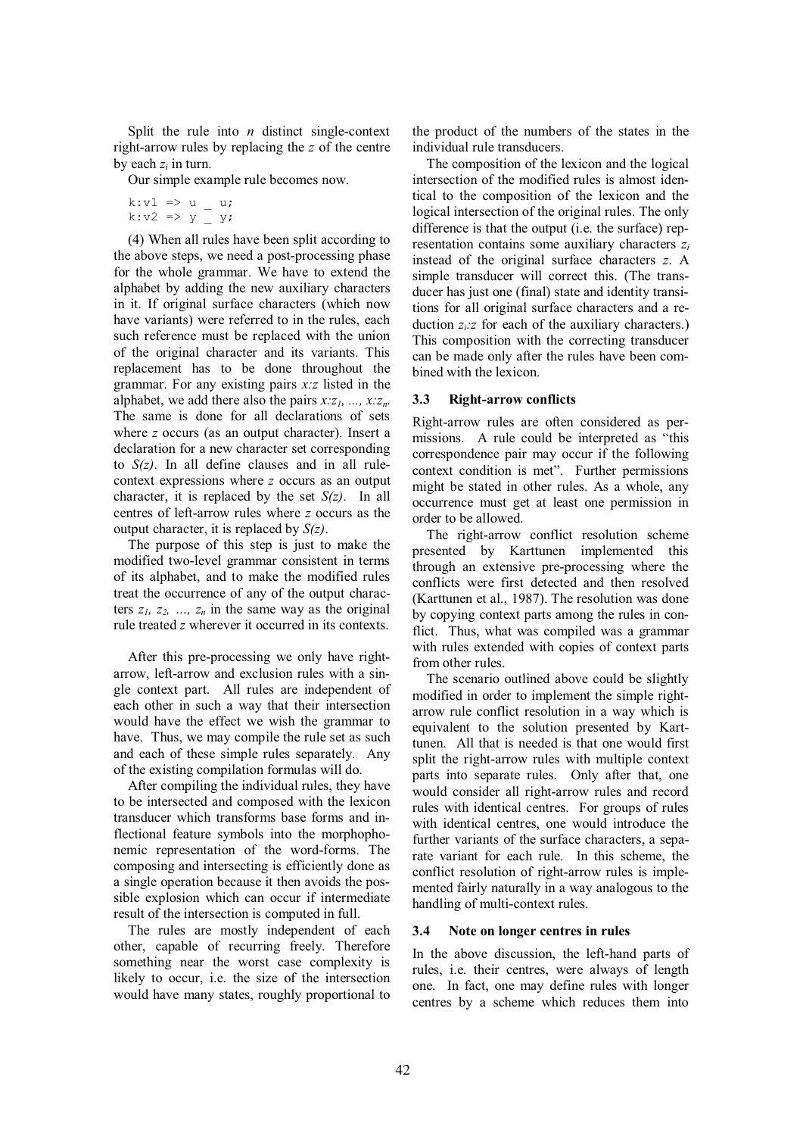Split the rule into *n* distinct single-context right-arrow rules by replacing the *z* of the centre by each  $z_i$  in turn.

Our simple example rule becomes now.

```
k: v1 \Rightarrow u u;
k:v2 => y \overline{y} y;
```
(4) When all rules have been split according to the above steps, we need a post-processing phase for the whole grammar. We have to extend the alphabet by adding the new auxiliary characters in it. If original surface characters (which now have variants) were referred to in the rules, each such reference must be replaced with the union of the original character and its variants. This replacement has to be done throughout the grammar. For any existing pairs *x:z* listed in the alphabet, we add there also the pairs *x:z1, ..., x:zn*. The same is done for all declarations of sets where *z* occurs (as an output character). Insert a declaration for a new character set corresponding to *S(z)*. In all define clauses and in all rulecontext expressions where *z* occurs as an output character, it is replaced by the set *S(z)*. In all centres of left-arrow rules where *z* occurs as the output character, it is replaced by *S(z)*.

The purpose of this step is just to make the modified two-level grammar consistent in terms of its alphabet, and to make the modified rules treat the occurrence of any of the output characters  $z_1$ ,  $z_2$ , ...,  $z_n$  in the same way as the original rule treated *z* wherever it occurred in its contexts.

After this pre-processing we only have rightarrow, left-arrow and exclusion rules with a single context part. All rules are independent of each other in such a way that their intersection would have the effect we wish the grammar to have. Thus, we may compile the rule set as such and each of these simple rules separately. Any of the existing compilation formulas will do.

After compiling the individual rules, they have to be intersected and composed with the lexicon transducer which transforms base forms and inflectional feature symbols into the morphophonemic representation of the word-forms. The composing and intersecting is efficiently done as a single operation because it then avoids the possible explosion which can occur if intermediate result of the intersection is computed in full.

The rules are mostly independent of each other, capable of recurring freely. Therefore something near the worst case complexity is likely to occur, i.e. the size of the intersection would have many states, roughly proportional to the product of the numbers of the states in the individual rule transducers.

The composition of the lexicon and the logical intersection of the modified rules is almost identical to the composition of the lexicon and the logical intersection of the original rules. The only difference is that the output (i.e. the surface) representation contains some auxiliary characters *z<sup>i</sup>* instead of the original surface characters *z*. A simple transducer will correct this. (The transducer has just one (final) state and identity transitions for all original surface characters and a reduction  $z_i$ :*z* for each of the auxiliary characters.) This composition with the correcting transducer can be made only after the rules have been combined with the lexicon.

## **3.3 Right-arrow conflicts**

Right-arrow rules are often considered as permissions. A rule could be interpreted as "this correspondence pair may occur if the following context condition is met". Further permissions might be stated in other rules. As a whole, any occurrence must get at least one permission in order to be allowed.

The right-arrow conflict resolution scheme presented by Karttunen implemented this through an extensive pre-processing where the conflicts were first detected and then resolved (Karttunen et al., 1987). The resolution was done by copying context parts among the rules in conflict. Thus, what was compiled was a grammar with rules extended with copies of context parts from other rules.

The scenario outlined above could be slightly modified in order to implement the simple rightarrow rule conflict resolution in a way which is equivalent to the solution presented by Karttunen. All that is needed is that one would first split the right-arrow rules with multiple context parts into separate rules. Only after that, one would consider all right-arrow rules and record rules with identical centres. For groups of rules with identical centres, one would introduce the further variants of the surface characters, a separate variant for each rule. In this scheme, the conflict resolution of right-arrow rules is implemented fairly naturally in a way analogous to the handling of multi-context rules.

## **3.4 Note on longer centres in rules**

In the above discussion, the left-hand parts of rules, i.e. their centres, were always of length one. In fact, one may define rules with longer centres by a scheme which reduces them into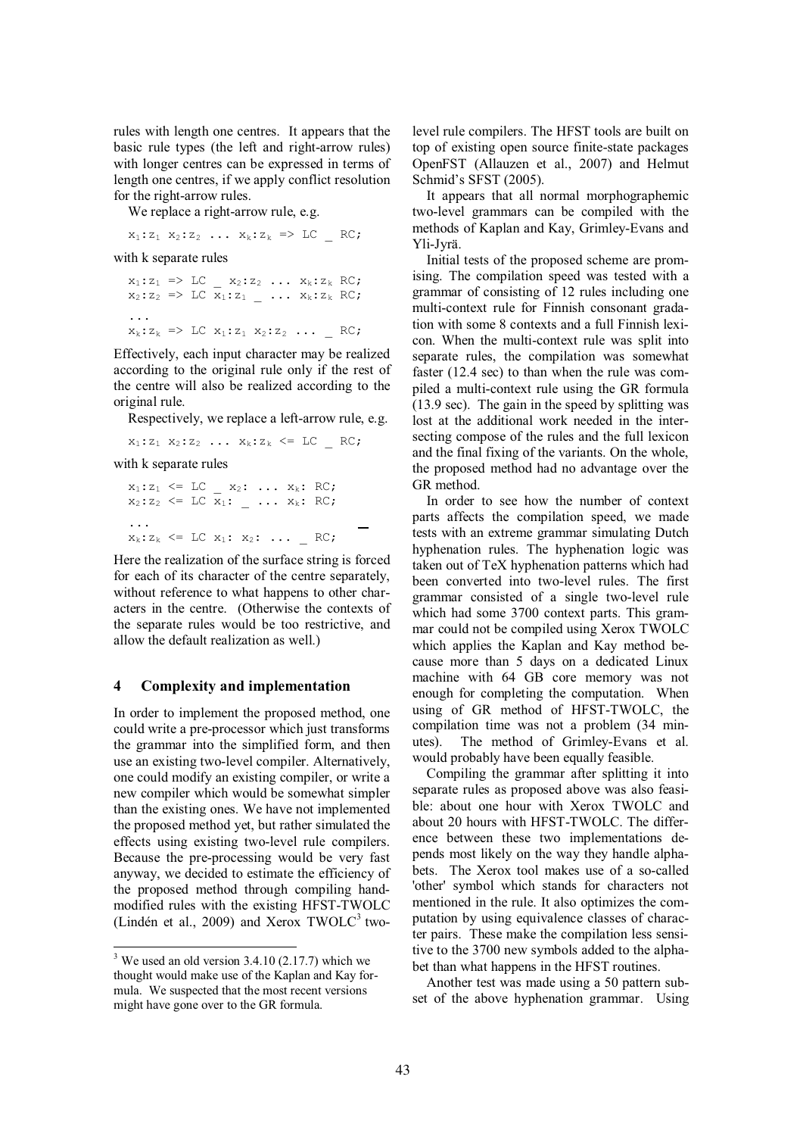rules with length one centres. It appears that the basic rule types (the left and right-arrow rules) with longer centres can be expressed in terms of length one centres, if we apply conflict resolution for the right-arrow rules.

We replace a right-arrow rule, e.g.

 $x_1:z_1, x_2:z_2, \ldots, x_k:z_k \implies LC$  RC;

with k separate rules

 $x_1:z_1 \implies LC \_ x_2:z_2 \ldots x_k:z_k \text{ RC};$  $x_2:z_2 \implies LC \overline{x}_1:z_1 \_ \dots \ x_k:z_k \ RC;$ ...  $x_k:z_k \Rightarrow LC x_1:z_1 x_2:z_2 \dots N$ 

Effectively, each input character may be realized according to the original rule only if the rest of the centre will also be realized according to the original rule.

Respectively, we replace a left-arrow rule, e.g.

 $x_1:z_1, x_2:z_2, \ldots, x_k:z_k \leq L_C$  RC;

with k separate rules

 $x_1:z_1 \leq LC \_ x_2: \ldots x_k: RC;$  $x_2:z_2 \leq LC \overline{x}_1: - \cdots x_k: RC;$ ...  $x_k: z_k \leq LC$   $x_1: x_2: \ldots$  RC;

Here the realization of the surface string is forced for each of its character of the centre separately, without reference to what happens to other characters in the centre. (Otherwise the contexts of the separate rules would be too restrictive, and allow the default realization as well.)

## **4 Complexity and implementation**

In order to implement the proposed method, one could write a pre-processor which just transforms the grammar into the simplified form, and then use an existing two-level compiler. Alternatively, one could modify an existing compiler, or write a new compiler which would be somewhat simpler than the existing ones. We have not implemented the proposed method yet, but rather simulated the effects using existing two-level rule compilers. Because the pre-processing would be very fast anyway, we decided to estimate the efficiency of the proposed method through compiling handmodified rules with the existing HFST-TWOLC (Lindén et al., 2009) and Xerox  $TWOLC<sup>3</sup>$  twolevel rule compilers. The HFST tools are built on top of existing open source finite-state packages OpenFST (Allauzen et al., 2007) and Helmut Schmid's SFST (2005).

It appears that all normal morphographemic two-level grammars can be compiled with the methods of Kaplan and Kay, Grimley-Evans and Yli-Jyrä.

Initial tests of the proposed scheme are promising. The compilation speed was tested with a grammar of consisting of 12 rules including one multi-context rule for Finnish consonant gradation with some 8 contexts and a full Finnish lexicon. When the multi-context rule was split into separate rules, the compilation was somewhat faster (12.4 sec) to than when the rule was compiled a multi-context rule using the GR formula (13.9 sec). The gain in the speed by splitting was lost at the additional work needed in the intersecting compose of the rules and the full lexicon and the final fixing of the variants. On the whole, the proposed method had no advantage over the GR method.

In order to see how the number of context parts affects the compilation speed, we made tests with an extreme grammar simulating Dutch hyphenation rules. The hyphenation logic was taken out of TeX hyphenation patterns which had been converted into two-level rules. The first grammar consisted of a single two-level rule which had some 3700 context parts. This grammar could not be compiled using Xerox TWOLC which applies the Kaplan and Kay method because more than 5 days on a dedicated Linux machine with 64 GB core memory was not enough for completing the computation. When using of GR method of HFST-TWOLC, the compilation time was not a problem (34 minutes). The method of Grimley-Evans et al. would probably have been equally feasible.

Compiling the grammar after splitting it into separate rules as proposed above was also feasible: about one hour with Xerox TWOLC and about 20 hours with HFST-TWOLC. The difference between these two implementations depends most likely on the way they handle alphabets. The Xerox tool makes use of a so-called 'other' symbol which stands for characters not mentioned in the rule. It also optimizes the computation by using equivalence classes of character pairs. These make the compilation less sensitive to the 3700 new symbols added to the alphabet than what happens in the HFST routines.

Another test was made using a 50 pattern subset of the above hyphenation grammar. Using

<sup>&</sup>lt;sup>3</sup> We used an old version  $3.4.10$  (2.17.7) which we thought would make use of the Kaplan and Kay formula. We suspected that the most recent versions might have gone over to the GR formula.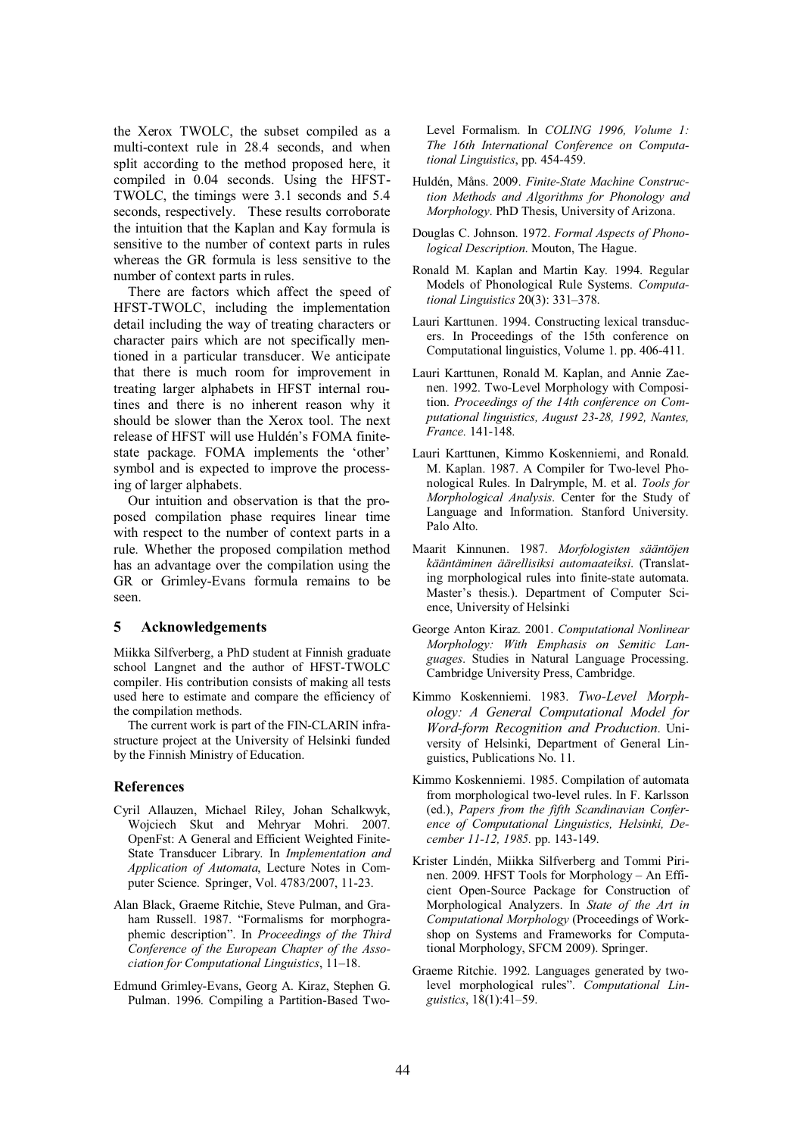the Xerox TWOLC, the subset compiled as a multi-context rule in 28.4 seconds, and when split according to the method proposed here, it compiled in 0.04 seconds. Using the HFST-TWOLC, the timings were 3.1 seconds and 5.4 seconds, respectively. These results corroborate the intuition that the Kaplan and Kay formula is sensitive to the number of context parts in rules whereas the GR formula is less sensitive to the number of context parts in rules.

There are factors which affect the speed of HFST-TWOLC, including the implementation detail including the way of treating characters or character pairs which are not specifically mentioned in a particular transducer. We anticipate that there is much room for improvement in treating larger alphabets in HFST internal routines and there is no inherent reason why it should be slower than the Xerox tool. The next release of HFST will use Huldén's FOMA finitestate package. FOMA implements the 'other' symbol and is expected to improve the processing of larger alphabets.

Our intuition and observation is that the proposed compilation phase requires linear time with respect to the number of context parts in a rule. Whether the proposed compilation method has an advantage over the compilation using the GR or Grimley-Evans formula remains to be seen.

## **5 Acknowledgements**

Miikka Silfverberg, a PhD student at Finnish graduate school Langnet and the author of HFST-TWOLC compiler. His contribution consists of making all tests used here to estimate and compare the efficiency of the compilation methods.

The current work is part of the FIN-CLARIN infrastructure project at the University of Helsinki funded by the Finnish Ministry of Education.

## **References**

- Cyril Allauzen, Michael Riley, Johan Schalkwyk, Wojciech Skut and Mehryar Mohri. 2007. OpenFst: A General and Efficient Weighted Finite-State Transducer Library. In *Implementation and Application of Automata*, Lecture Notes in Computer Science. Springer, Vol. 4783/2007, 11-23.
- Alan Black, Graeme Ritchie, Steve Pulman, and Graham Russell. 1987. "Formalisms for morphographemic description". In *Proceedings of the Third Conference of the European Chapter of the Association for Computational Linguistics*, 11–18.
- Edmund Grimley-Evans, Georg A. Kiraz, Stephen G. Pulman. 1996. Compiling a Partition-Based Two-

Level Formalism. In *COLING 1996, Volume 1: The 16th International Conference on Computational Linguistics*, pp. 454-459.

- Huldén, Måns. 2009. *Finite-State Machine Construction Methods and Algorithms for Phonology and Morphology*. PhD Thesis, University of Arizona.
- Douglas C. Johnson. 1972. *Formal Aspects of Phonological Description*. Mouton, The Hague.
- Ronald M. Kaplan and Martin Kay. 1994. Regular Models of Phonological Rule Systems. *Computational Linguistics* 20(3): 331–378.
- Lauri Karttunen. 1994. Constructing lexical transducers. In Proceedings of the 15th conference on Computational linguistics, Volume 1. pp. 406-411.
- Lauri Karttunen, Ronald M. Kaplan, and Annie Zaenen. 1992. Two-Level Morphology with Composition. *Proceedings of the 14th conference on Computational linguistics, August 23-28, 1992, Nantes, France.* 141-148.
- Lauri Karttunen, Kimmo Koskenniemi, and Ronald. M. Kaplan. 1987. A Compiler for Two-level Phonological Rules. In Dalrymple, M. et al. *Tools for Morphological Analysis*. Center for the Study of Language and Information. Stanford University. Palo Alto.
- Maarit Kinnunen. 1987. *Morfologisten sääntöjen kääntäminen äärellisiksi automaateiksi*. (Translating morphological rules into finite-state automata. Master's thesis.). Department of Computer Science, University of Helsinki
- George Anton Kiraz. 2001. *Computational Nonlinear Morphology: With Emphasis on Semitic Languages*. Studies in Natural Language Processing. Cambridge University Press, Cambridge.
- Kimmo Koskenniemi. 1983. *Two-Level Morphology: A General Computational Model for Word-form Recognition and Production*. University of Helsinki, Department of General Linguistics, Publications No. 11.
- Kimmo Koskenniemi. 1985. Compilation of automata from morphological two-level rules. In F. Karlsson (ed.), *Papers from the fifth Scandinavian Conference of Computational Linguistics, Helsinki, December 11-12, 1985.* pp. 143-149.
- Krister Lindén, Miikka Silfverberg and Tommi Pirinen. 2009. HFST Tools for Morphology – An Efficient Open-Source Package for Construction of Morphological Analyzers. In *State of the Art in Computational Morphology* (Proceedings of Workshop on Systems and Frameworks for Computational Morphology, SFCM 2009). Springer.
- Graeme Ritchie. 1992. Languages generated by twolevel morphological rules". *Computational Linguistics*, 18(1):41–59.